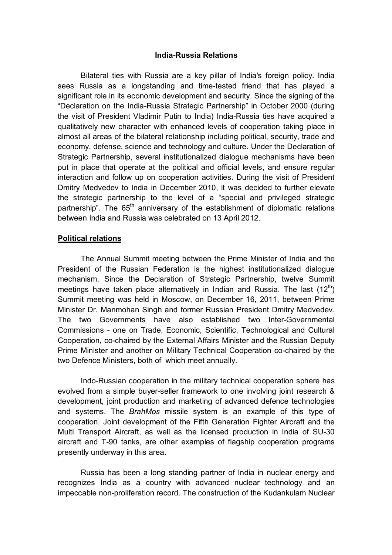### **India-Russia Relations**

Bilateral ties with Russia are a key pillar of India's foreign policy. India sees Russia as a longstanding and time-tested friend that has played a significant role in its economic development and security. Since the signing of the "Declaration on the India-Russia Strategic Partnership" in October 2000 (during the visit of President Vladimir Putin to India) India-Russia ties have acquired a qualitatively new character with enhanced levels of cooperation taking place in almost all areas of the bilateral relationship including political, security, trade and economy, defense, science and technology and culture. Under the Declaration of Strategic Partnership, several institutionalized dialogue mechanisms have been put in place that operate at the political and official levels, and ensure regular interaction and follow up on cooperation activities. During the visit of President Dmitry Medvedev to India in December 2010, it was decided to further elevate the strategic partnership to the level of a "special and privileged strategic partnership". The  $65<sup>th</sup>$  anniversary of the establishment of diplomatic relations between India and Russia was celebrated on 13 April 2012.

### **Political relations**

The Annual Summit meeting between the Prime Minister of India and the President of the Russian Federation is the highest institutionalized dialogue mechanism. Since the Declaration of Strategic Partnership, twelve Summit meetings have taken place alternatively in Indian and Russia. The last  $(12^{th})$ Summit meeting was held in Moscow, on December 16, 2011, between Prime Minister Dr. Manmohan Singh and former Russian President Dmitry Medvedev. The two Governments have also established two Inter-Governmental Commissions - one on Trade, Economic, Scientific, Technological and Cultural Cooperation, co-chaired by the External Affairs Minister and the Russian Deputy Prime Minister and another on Military Technical Cooperation co-chaired by the two Defence Ministers, both of which meet annually.

Indo-Russian cooperation in the military technical cooperation sphere has evolved from a simple buyer-seller framework to one involving joint research & development, joint production and marketing of advanced defence technologies and systems. The *BrahMos* missile system is an example of this type of cooperation. Joint development of the Fifth Generation Fighter Aircraft and the Multi Transport Aircraft, as well as the licensed production in India of SU-30 aircraft and T-90 tanks, are other examples of flagship cooperation programs presently underway in this area.

Russia has been a long standing partner of India in nuclear energy and recognizes India as a country with advanced nuclear technology and an impeccable non-proliferation record. The construction of the Kudankulam Nuclear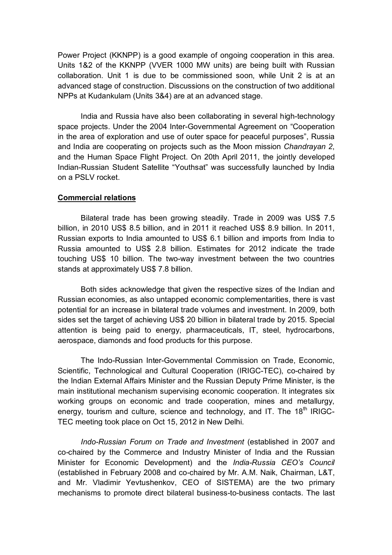Power Project (KKNPP) is a good example of ongoing cooperation in this area. Units 1&2 of the KKNPP (VVER 1000 MW units) are being built with Russian collaboration. Unit 1 is due to be commissioned soon, while Unit 2 is at an advanced stage of construction. Discussions on the construction of two additional NPPs at Kudankulam (Units 3&4) are at an advanced stage.

India and Russia have also been collaborating in several high-technology space projects. Under the 2004 Inter-Governmental Agreement on "Cooperation in the area of exploration and use of outer space for peaceful purposes", Russia and India are cooperating on projects such as the Moon mission *Chandrayan 2*, and the Human Space Flight Project. On 20th April 2011, the jointly developed Indian-Russian Student Satellite "Youthsat" was successfully launched by India on a PSLV rocket.

## **Commercial relations**

Bilateral trade has been growing steadily. Trade in 2009 was US\$ 7.5 billion, in 2010 US\$ 8.5 billion, and in 2011 it reached US\$ 8.9 billion. In 2011, Russian exports to India amounted to US\$ 6.1 billion and imports from India to Russia amounted to US\$ 2.8 billion. Estimates for 2012 indicate the trade touching US\$ 10 billion. The two-way investment between the two countries stands at approximately US\$ 7.8 billion.

Both sides acknowledge that given the respective sizes of the Indian and Russian economies, as also untapped economic complementarities, there is vast potential for an increase in bilateral trade volumes and investment. In 2009, both sides set the target of achieving US\$ 20 billion in bilateral trade by 2015. Special attention is being paid to energy, pharmaceuticals, IT, steel, hydrocarbons, aerospace, diamonds and food products for this purpose.

The Indo-Russian Inter-Governmental Commission on Trade, Economic, Scientific, Technological and Cultural Cooperation (IRIGC-TEC), co-chaired by the Indian External Affairs Minister and the Russian Deputy Prime Minister, is the main institutional mechanism supervising economic cooperation. It integrates six working groups on economic and trade cooperation, mines and metallurgy, energy, tourism and culture, science and technology, and IT. The 18<sup>th</sup> IRIGC-TEC meeting took place on Oct 15, 2012 in New Delhi.

*Indo-Russian Forum on Trade and Investment* (established in 2007 and co-chaired by the Commerce and Industry Minister of India and the Russian Minister for Economic Development) and the *India-Russia CEO's Council*  (established in February 2008 and co-chaired by Mr. A.M. Naik, Chairman, L&T, and Mr. Vladimir Yevtushenkov, CEO of SISTEMA) are the two primary mechanisms to promote direct bilateral business-to-business contacts. The last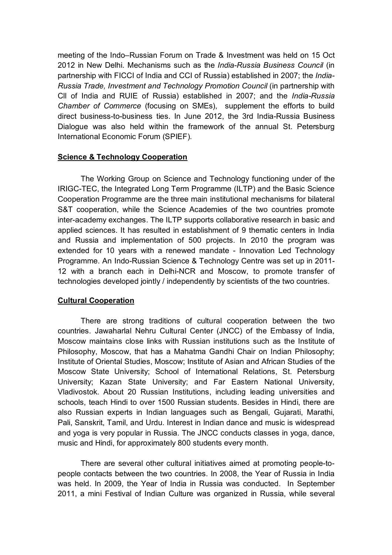meeting of the Indo–Russian Forum on Trade & Investment was held on 15 Oct 2012 in New Delhi. Mechanisms such as the *India-Russia Business Council* (in partnership with FICCI of India and CCI of Russia) established in 2007; the *India-Russia Trade, Investment and Technology Promotion Council* (in partnership with Cll of India and RUIE of Russia) established in 2007; and the *India-Russia Chamber of Commerce* (focusing on SMEs), supplement the efforts to build direct business-to-business ties. In June 2012, the 3rd India-Russia Business Dialogue was also held within the framework of the annual St. Petersburg International Economic Forum (SPIEF).

## **Science & Technology Cooperation**

The Working Group on Science and Technology functioning under of the IRIGC-TEC, the Integrated Long Term Programme (ILTP) and the Basic Science Cooperation Programme are the three main institutional mechanisms for bilateral S&T cooperation, while the Science Academies of the two countries promote inter-academy exchanges. The ILTP supports collaborative research in basic and applied sciences. It has resulted in establishment of 9 thematic centers in India and Russia and implementation of 500 projects. In 2010 the program was extended for 10 years with a renewed mandate - Innovation Led Technology Programme. An Indo-Russian Science & Technology Centre was set up in 2011- 12 with a branch each in Delhi-NCR and Moscow, to promote transfer of technologies developed jointly / independently by scientists of the two countries.

# **Cultural Cooperation**

There are strong traditions of cultural cooperation between the two countries. Jawaharlal Nehru Cultural Center (JNCC) of the Embassy of India, Moscow maintains close links with Russian institutions such as the Institute of Philosophy, Moscow, that has a Mahatma Gandhi Chair on Indian Philosophy; Institute of Oriental Studies, Moscow; Institute of Asian and African Studies of the Moscow State University; School of International Relations, St. Petersburg University; Kazan State University; and Far Eastern National University, Vladivostok. About 20 Russian Institutions, including leading universities and schools, teach Hindi to over 1500 Russian students. Besides in Hindi, there are also Russian experts in Indian languages such as Bengali, Gujarati, Marathi, Pali, Sanskrit, Tamil, and Urdu. Interest in Indian dance and music is widespread and yoga is very popular in Russia. The JNCC conducts classes in yoga, dance, music and Hindi, for approximately 800 students every month.

There are several other cultural initiatives aimed at promoting people-topeople contacts between the two countries. In 2008, the Year of Russia in India was held. In 2009, the Year of India in Russia was conducted. In September 2011, a mini Festival of Indian Culture was organized in Russia, while several